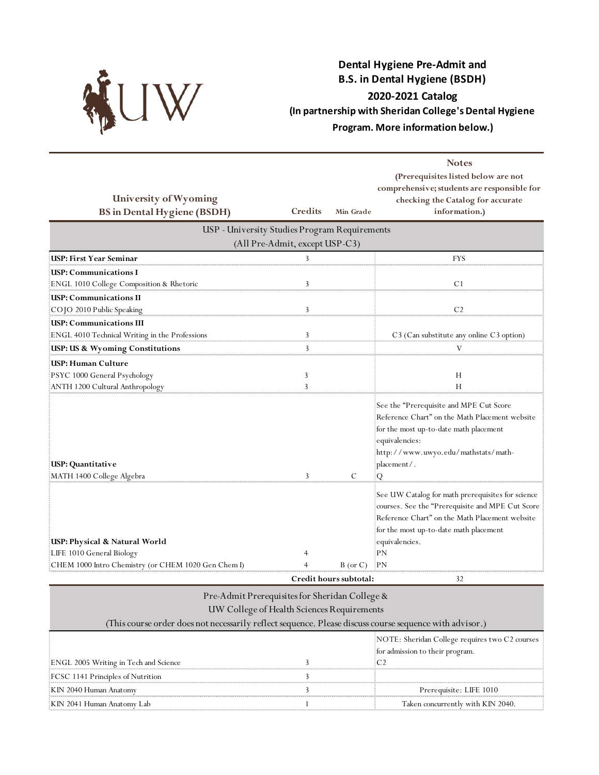

## **Dental Hygiene Pre-Admit and B.S. in Dental Hygiene (BSDH) 2020-2021 Catalog (In partnership with Sheridan College's Dental Hygiene Program. More information below.)**

| University of Wyoming                                                                                             |                                |                        | <b>Notes</b><br>(Prerequisites listed below are not<br>comprehensive; students are responsible for<br>checking the Catalog for accurate                                                                                         |
|-------------------------------------------------------------------------------------------------------------------|--------------------------------|------------------------|---------------------------------------------------------------------------------------------------------------------------------------------------------------------------------------------------------------------------------|
| <b>BS</b> in Dental Hygiene (BSDH)                                                                                | Credits                        | Min Grade              | information.)                                                                                                                                                                                                                   |
| USP - University Studies Program Requirements                                                                     |                                |                        |                                                                                                                                                                                                                                 |
|                                                                                                                   | (All Pre-Admit, except USP-C3) |                        |                                                                                                                                                                                                                                 |
| USP: First Year Seminar                                                                                           | 3                              |                        | <b>FYS</b>                                                                                                                                                                                                                      |
| USP: Communications I                                                                                             |                                |                        |                                                                                                                                                                                                                                 |
| ENGL 1010 College Composition & Rhetoric                                                                          | 3                              |                        | C <sub>1</sub>                                                                                                                                                                                                                  |
| <b>USP: Communications II</b>                                                                                     |                                |                        |                                                                                                                                                                                                                                 |
| COJO 2010 Public Speaking                                                                                         | 3                              |                        | C <sub>2</sub>                                                                                                                                                                                                                  |
| <b>USP: Communications III</b>                                                                                    |                                |                        |                                                                                                                                                                                                                                 |
| ENGL 4010 Technical Writing in the Professions                                                                    | 3                              |                        | C3 (Can substitute any online C3 option)                                                                                                                                                                                        |
| USP: US & Wyoming Constitutions                                                                                   | $\overline{3}$                 |                        | V                                                                                                                                                                                                                               |
| USP: Human Culture                                                                                                |                                |                        |                                                                                                                                                                                                                                 |
| PSYC 1000 General Psychology                                                                                      | 3                              |                        | Н                                                                                                                                                                                                                               |
| ANTH 1200 Cultural Anthropology                                                                                   | 3                              |                        | Н                                                                                                                                                                                                                               |
| USP: Quantitative<br>MATH 1400 College Algebra                                                                    | 3                              | C                      | See the "Prerequisite and MPE Cut Score<br>Reference Chart" on the Math Placement website<br>for the most up-to-date math placement<br>equivalencies:<br>http://www.uwyo.edu/mathstats/math-<br>placement/.<br>Q                |
| USP: Physical & Natural World<br>LIFE 1010 General Biology<br>CHEM 1000 Intro Chemistry (or CHEM 1020 Gen Chem I) | $\overline{4}$                 | $B$ (or $C$ )          | See UW Catalog for math prerequisites for science<br>courses. See the "Prerequisite and MPE Cut Score<br>Reference Chart" on the Math Placement website<br>for the most up-to-date math placement<br>equivalencies.<br>PN<br>PN |
|                                                                                                                   |                                | Credit hours subtotal: | 32                                                                                                                                                                                                                              |

| Pre-Admit Prerequisites for Sheridan College &<br>UW College of Health Sciences Requirements<br>(This course order does not necessarily reflect sequence. Please discuss course sequence with advisor.) |  |                                                                                   |
|---------------------------------------------------------------------------------------------------------------------------------------------------------------------------------------------------------|--|-----------------------------------------------------------------------------------|
| ENGL 2005 Writing in Tech and Science                                                                                                                                                                   |  | NOTE: Sheridan College requires two C2 courses<br>for admission to their program. |
| FCSC 1141 Principles of Nutrition                                                                                                                                                                       |  |                                                                                   |
| KIN 2040 Human Anatomy                                                                                                                                                                                  |  | Prerequisite: LIFE 1010                                                           |
| KIN 2041 Human Anatomy Lab                                                                                                                                                                              |  | Taken concurrently with KIN 2040.                                                 |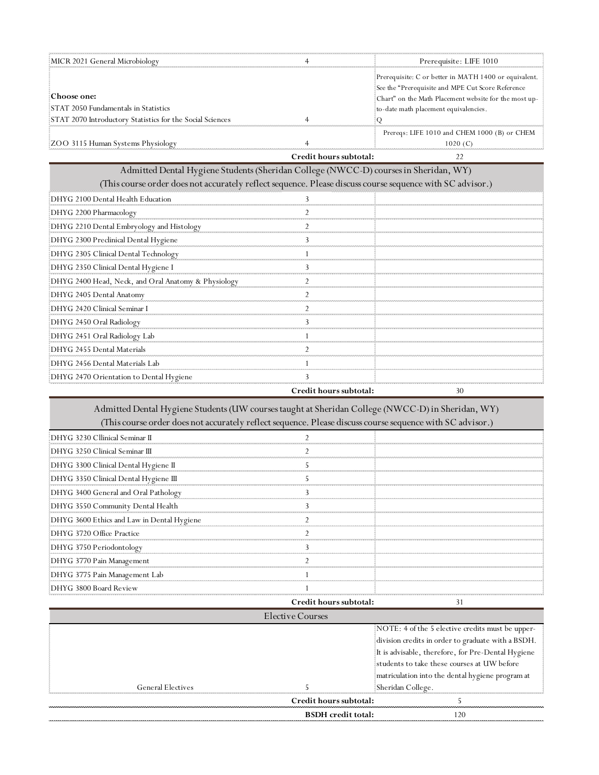| MICR 2021 General Microbiology                            |                        | Prerequisite: LIFE 1010                                                                                    |
|-----------------------------------------------------------|------------------------|------------------------------------------------------------------------------------------------------------|
|                                                           |                        | Prerequisite: C or better in MATH 1400 or equivalent.<br>See the "Prerequisite and MPE Cut Score Reference |
| :Choose one:                                              |                        | Chart" on the Math Placement website for the most up-                                                      |
| STAT 2050 Fundamentals in Statistics                      |                        | to-date math placement equivalencies.                                                                      |
| STAT 2070 Introductory Statistics for the Social Sciences |                        |                                                                                                            |
|                                                           |                        | Prereqs: LIFE 1010 and CHEM 1000 (B) or CHEM                                                               |
| EZOO 3115 Human Systems Physiology                        |                        | 1020 (C)                                                                                                   |
|                                                           | Credit hours subtotal: |                                                                                                            |

Admitted Dental Hygiene Students (Sheridan College (NWCC-D) courses in Sheridan, WY)

|                                                                                                           | Credit hours subtotal: | 30 |
|-----------------------------------------------------------------------------------------------------------|------------------------|----|
| DHYG 2470 Orientation to Dental Hygiene                                                                   |                        |    |
| DHYG 2456 Dental Materials Lab                                                                            |                        |    |
| DHYG 2455 Dental Materials                                                                                |                        |    |
| DHYG 2451 Oral Radiology Lab                                                                              |                        |    |
| DHYG 2450 Oral Radiology                                                                                  |                        |    |
| DHYG 2420 Clinical Seminar I                                                                              |                        |    |
| DHYG 2405 Dental Anatomy                                                                                  |                        |    |
| EDHYG 2400 Head, Neck, and Oral Anatomy & Physiology                                                      |                        |    |
| DHYG 2350 Clinical Dental Hygiene I                                                                       |                        |    |
| DHYG 2305 Clinical Dental Technology                                                                      |                        |    |
| DHYG 2300 Preclinical Dental Hygiene                                                                      |                        |    |
| DHYG 2210 Dental Embryology and Histology                                                                 |                        |    |
| DHYG 2200 Pharmacology                                                                                    |                        |    |
| DHYG 2100 Dental Health Education                                                                         |                        |    |
| (This course order does not accurately reflect sequence. Please discuss course sequence with SC advisor.) |                        |    |
| Admitted Dental Hygiene Students (Sheridan Concege (IV W CC-D) courses in Sheridan, W T)                  |                        |    |

Admitted Dental Hygiene Students (UW courses taught at Sheridan College (NWCC-D) in Sheridan, WY) (This course order does not accurately reflect sequence. Please discuss course sequence with SC advisor.)

| DHYG 3230 Cllinical Seminar II             |                        |  |
|--------------------------------------------|------------------------|--|
| : DHYG 3250 Clinical Seminar III           |                        |  |
| DHYG 3300 Clinical Dental Hygiene II       |                        |  |
| DHYG 3350 Clinical Dental Hygiene III      |                        |  |
| DHYG 3400 General and Oral Pathology       |                        |  |
| DHYG 3550 Community Dental Health          |                        |  |
| DHYG 3600 Ethics and Law in Dental Hygiene |                        |  |
| DHYG 3720 Office Practice                  |                        |  |
| DHYG 3750 Periodontology                   |                        |  |
| DHYG 3770 Pain Management                  |                        |  |
| DHYG 3775 Pain Management Lab              |                        |  |
| DHYG 3800 Board Review                     |                        |  |
|                                            | Credit hours subtotal: |  |

|                   | Elective Courses          |                                                                                                                                                                                                             |
|-------------------|---------------------------|-------------------------------------------------------------------------------------------------------------------------------------------------------------------------------------------------------------|
|                   |                           | NOTE: 4 of the 5 elective credits must be upper-<br>division credits in order to graduate with a BSDH.<br>It is advisable, therefore, for Pre-Dental Hygiene<br>students to take these courses at UW before |
| General Electives |                           | matriculation into the dental hygiene program at<br>Sheridan College.                                                                                                                                       |
|                   | Credit hours subtotal:    |                                                                                                                                                                                                             |
|                   | <b>BSDH</b> credit total: | 20                                                                                                                                                                                                          |